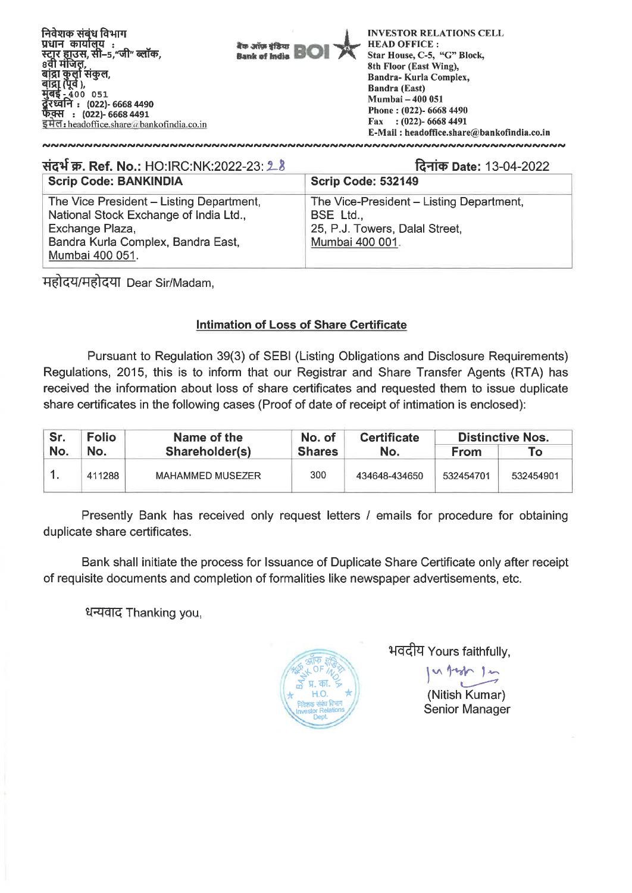

| संदर्भ क्र. Ref. No.: HO:IRC:NK:2022-23: 28                                                                                                                    | दिनांक Date: 13-04-2022                                                                                           |  |  |
|----------------------------------------------------------------------------------------------------------------------------------------------------------------|-------------------------------------------------------------------------------------------------------------------|--|--|
| <b>Scrip Code: BANKINDIA</b>                                                                                                                                   | Scrip Code: 532149                                                                                                |  |  |
| The Vice President - Listing Department,<br>National Stock Exchange of India Ltd.,<br>Exchange Plaza,<br>Bandra Kurla Complex, Bandra East,<br>Mumbai 400 051. | The Vice-President - Listing Department,<br><b>BSE Ltd.,</b><br>25, P.J. Towers, Dalal Street,<br>Mumbai 400 001. |  |  |

महोदय/महोदया Dear Sir/Madam,

## **Intimation of Loss of Share Certificate**

Pursuant to Regulation 39(3) of SEBI (Listing Obligations and Disclosure Requirements) Regulations, 2015, this is to inform that our Registrar and Share Transfer Agents (RTA) has received the information about loss of share certificates and requested them to issue duplicate share certificates in the following cases (Proof of date of receipt of intimation is enclosed):

| Sr. | <b>Folio</b> | Name of the<br>Shareholder(s) | No. of        | <b>Certificate</b><br>No. | <b>Distinctive Nos.</b> |           |  |
|-----|--------------|-------------------------------|---------------|---------------------------|-------------------------|-----------|--|
| No. | No.          |                               | <b>Shares</b> |                           | From                    | ۱o        |  |
|     | 411288       | <b>MAHAMMED MUSEZER</b>       | 300           | 434648-434650             | 532454701               | 532454901 |  |

Presently Bank has received only request letters / emails for procedure for obtaining duplicate share certificates.

Bank shall initiate the process for Issuance of Duplicate Share Certificate only after receipt of requisite documents and completion of formalities like newspaper advertisements, etc.

धन्यवाद Thanking you,



भवदीय Yours faithfully,

(Nitish Kumar) Senior Manager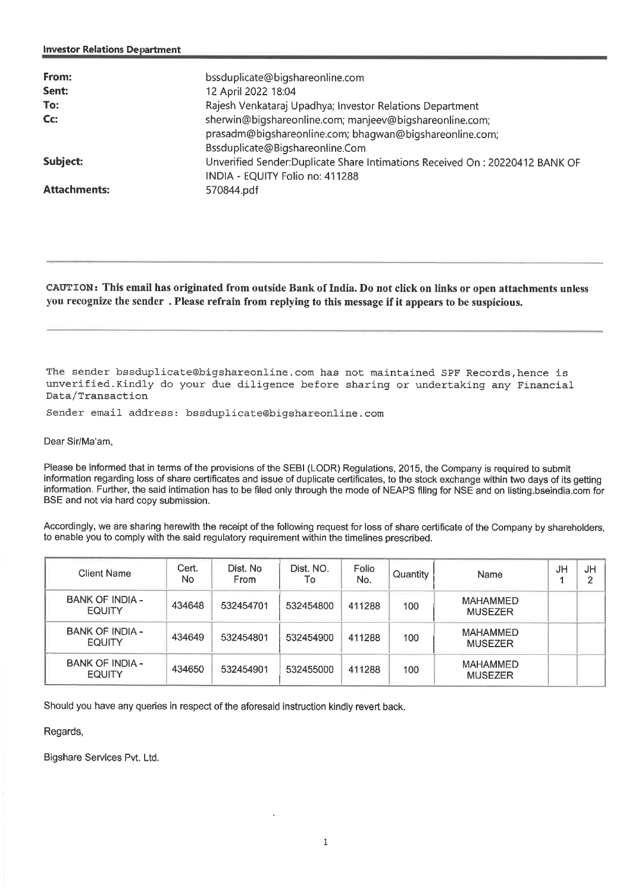| From:<br>Sent:<br>To: | bssduplicate@bigshareonline.com<br>12 April 2022 18:04<br>Rajesh Venkataraj Upadhya; Investor Relations Department                                    |
|-----------------------|-------------------------------------------------------------------------------------------------------------------------------------------------------|
| Cc:                   | sherwin@bigshareonline.com; manjeev@bigshareonline.com;<br>prasadm@bigshareonline.com; bhagwan@bigshareonline.com;<br>Bssduplicate@Bigshareonline.Com |
| Subject:              | Unverified Sender: Duplicate Share Intimations Received On: 20220412 BANK OF<br>INDIA - EQUITY Folio no: 411288                                       |
| <b>Attachments:</b>   | 570844.pdf                                                                                                                                            |

CAUTION: This email has originated from outside Bank of India. Do not click on links or open attachments unless you recognize the sender . Please refrain from replying to this message if it appears to be suspicious.

The sender bssduplicate@bigshareonline.com has not maintained SPF Records, hence is unverified.Kindly do your due diligence before sharing or undertaking any Financial Data/Transaction

Sender email address: bssduplicate@bigshareonline.com

Dear Sir/Ma'am,

Please be informed that in terms of the provisions of the SEBI (LODR) Regulations, 2015, the Company is required to submit information regarding loss of share certificates and issue of duplicate certificates, to the stock exchange within two days of its getting information. Further, the said intimation has to be filed only through the mode of NEAPS filing for NSE and on listing.bseindia.com for BSE and not via hard copy submission.

Accordingly, we are sharing herewith the receipt of the following request for loss of share certificate of the Company by shareholders, to enable you to comply with the said regulatory requirement within the timelines prescribed.

| <b>Client Name</b>                      | Cert.<br>No | Dist. No<br><b>From</b> | Dist. NO.<br>То | Folio<br>No. | Quantity | Name                              | JH | JH |
|-----------------------------------------|-------------|-------------------------|-----------------|--------------|----------|-----------------------------------|----|----|
| <b>BANK OF INDIA -</b><br><b>EQUITY</b> | 434648      | 532454701               | 532454800       | 411288       | 100      | <b>MAHAMMED</b><br><b>MUSEZER</b> |    |    |
| <b>BANK OF INDIA -</b><br><b>EQUITY</b> | 434649      | 532454801               | 532454900       | 411288       | 100      | <b>MAHAMMED</b><br><b>MUSEZER</b> |    |    |
| <b>BANK OF INDIA -</b><br><b>EQUITY</b> | 434650      | 532454901               | 532455000       | 411288       | 100      | <b>MAHAMMFD</b><br><b>MUSEZER</b> |    |    |

Should you have any queries in respect of the aforesaid instruction kindly revert back.

Regards,

Bigshare Services Pvt. Ltd.